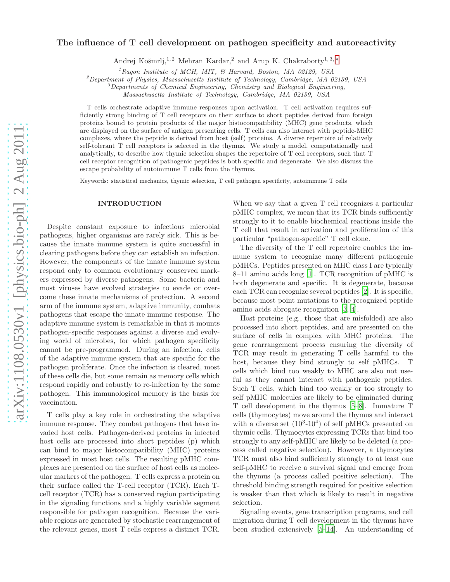# The influence of T cell development on pathogen specificity and autoreactivity

Andrej Košmrlj,<sup>1,2</sup> Mehran Kardar,<sup>2</sup> and Arup K. Chakraborty<sup>1,3,\*</sup>

 ${}^{1}$ Ragon Institute of MGH, MIT, & Harvard, Boston, MA 02129, USA

 $^{2}$ Department of Physics, Massachusetts Institute of Technology, Cambridge, MA 02139, USA

 ${}^3$ Departments of Chemical Engineering, Chemistry and Biological Engineering,

Massachusetts Institute of Technology, Cambridge, MA 02139, USA

T cells orchestrate adaptive immune responses upon activation. T cell activation requires sufficiently strong binding of T cell receptors on their surface to short peptides derived from foreign proteins bound to protein products of the major histocompatibility (MHC) gene products, which are displayed on the surface of antigen presenting cells. T cells can also interact with peptide-MHC complexes, where the peptide is derived from host (self) proteins. A diverse repertoire of relatively self-tolerant T cell receptors is selected in the thymus. We study a model, computationally and analytically, to describe how thymic selection shapes the repertoire of T cell receptors, such that T cell receptor recognition of pathogenic peptides is both specific and degenerate. We also discuss the escape probability of autoimmune T cells from the thymus.

Keywords: statistical mechanics, thymic selection, T cell pathogen specificity, autoimmune T cells

### INTRODUCTION

Despite constant exposure to infectious microbial pathogens, higher organisms are rarely sick. This is because the innate immune system is quite successful in clearing pathogens before they can establish an infection. However, the components of the innate immune system respond only to common evolutionary conserved markers expressed by diverse pathogens. Some bacteria and most viruses have evolved strategies to evade or overcome these innate mechanisms of protection. A second arm of the immune system, adaptive immunity, combats pathogens that escape the innate immune response. The adaptive immune system is remarkable in that it mounts pathogen-specific responses against a diverse and evolving world of microbes, for which pathogen specificity cannot be pre-programmed. During an infection, cells of the adaptive immune system that are specific for the pathogen proliferate. Once the infection is cleared, most of these cells die, but some remain as memory cells which respond rapidly and robustly to re-infection by the same pathogen. This immunological memory is the basis for vaccination.

T cells play a key role in orchestrating the adaptive immune response. They combat pathogens that have invaded host cells. Pathogen-derived proteins in infected host cells are processed into short peptides (p) which can bind to major histocompatibility (MHC) proteins expressed in most host cells. The resulting pMHC complexes are presented on the surface of host cells as molecular markers of the pathogen. T cells express a protein on their surface called the T-cell receptor (TCR). Each Tcell receptor (TCR) has a conserved region participating in the signaling functions and a highly variable segment responsible for pathogen recognition. Because the variable regions are generated by stochastic rearrangement of the relevant genes, most T cells express a distinct TCR.

When we say that a given T cell recognizes a particular pMHC complex, we mean that its TCR binds sufficiently strongly to it to enable biochemical reactions inside the T cell that result in activation and proliferation of this particular "pathogen-specific" T cell clone.

The diversity of the T cell repertoire enables the immune system to recognize many different pathogenic pMHCs. Peptides presented on MHC class I are typically 8–11 amino acids long [\[1\]](#page-10-1). TCR recognition of pMHC is both degenerate and specific. It is degenerate, because each TCR can recognize several peptides [\[2\]](#page-10-2). It is specific, because most point mutations to the recognized peptide amino acids abrogate recognition [\[3](#page-10-3), [4](#page-10-4)].

Host proteins (e.g., those that are misfolded) are also processed into short peptides, and are presented on the surface of cells in complex with MHC proteins. The gene rearrangement process ensuring the diversity of TCR may result in generating T cells harmful to the host, because they bind strongly to self pMHCs. T cells which bind too weakly to MHC are also not useful as they cannot interact with pathogenic peptides. Such T cells, which bind too weakly or too strongly to self pMHC molecules are likely to be eliminated during T cell development in the thymus [\[5](#page-10-5)[–8](#page-10-6)]. Immature T cells (thymocytes) move around the thymus and interact with a diverse set  $(10^3-10^4)$  of self pMHCs presented on thymic cells. Thymocytes expressing TCRs that bind too strongly to any self-pMHC are likely to be deleted (a process called negative selection). However, a thymocytes TCR must also bind sufficiently strongly to at least one self-pMHC to receive a survival signal and emerge from the thymus (a process called positive selection). The threshold binding strength required for positive selection is weaker than that which is likely to result in negative selection.

Signaling events, gene transcription programs, and cell migration during T cell development in the thymus have been studied extensively [\[5](#page-10-5)[–14](#page-11-0)]. An understanding of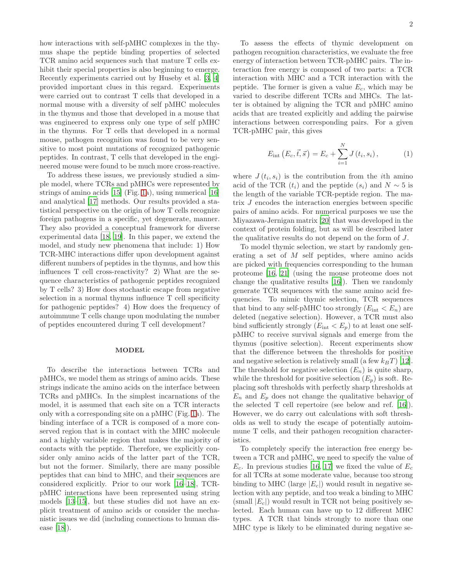how interactions with self-pMHC complexes in the thymus shape the peptide binding properties of selected TCR amino acid sequences such that mature T cells exhibit their special properties is also beginning to emerge. Recently experiments carried out by Huseby et al. [\[3](#page-10-3), [4](#page-10-4)] provided important clues in this regard. Experiments were carried out to contrast T cells that developed in a normal mouse with a diversity of self pMHC molecules in the thymus and those that developed in a mouse that was engineered to express only one type of self pMHC in the thymus. For T cells that developed in a normal mouse, pathogen recognition was found to be very sensitive to most point mutations of recognized pathogenic peptides. In contrast, T cells that developed in the engineered mouse were found to be much more cross-reactive.

To address these issues, we previously studied a simple model, where TCRs and pMHCs were represented by strings of amino acids [\[15\]](#page-11-1) (Fig. [1a](#page-2-0)), using numerical [\[16](#page-11-2)] and analytical [\[17\]](#page-11-3) methods. Our results provided a statistical perspective on the origin of how T cells recognize foreign pathogens in a specific, yet degenerate, manner. They also provided a conceptual framework for diverse experimental data [\[18](#page-11-4), [19](#page-11-5)]. In this paper, we extend the model, and study new phenomena that include: 1) How TCR-MHC interactions differ upon development against different numbers of peptides in the thymus, and how this influences T cell cross-reactivity? 2) What are the sequence characteristics of pathogenic peptides recognized by T cells? 3) How does stochastic escape from negative selection in a normal thymus influence T cell specificity for pathogenic peptides? 4) How does the frequency of autoimmune T cells change upon modulating the number of peptides encountered during T cell development?

#### **MODEL**

To describe the interactions between TCRs and pMHCs, we model them as strings of amino acids. These strings indicate the amino acids on the interface between TCRs and pMHCs. In the simplest incarnations of the model, it is assumed that each site on a TCR interacts only with a corresponding site on a pMHC (Fig. [1a](#page-2-0)). The binding interface of a TCR is composed of a more conserved region that is in contact with the MHC molecule and a highly variable region that makes the majority of contacts with the peptide. Therefore, we explicitly consider only amino acids of the latter part of the TCR, but not the former. Similarly, there are many possible peptides that can bind to MHC, and their sequences are considered explicitly. Prior to our work [\[16](#page-11-2)[–18\]](#page-11-4), TCRpMHC interactions have been represented using string models [\[13](#page-11-6)[–15\]](#page-11-1), but these studies did not have an explicit treatment of amino acids or consider the mechanistic issues we did (including connections to human disease [\[18\]](#page-11-4)).

To assess the effects of thymic development on pathogen recognition characteristics, we evaluate the free energy of interaction between TCR-pMHC pairs. The interaction free energy is composed of two parts: a TCR interaction with MHC and a TCR interaction with the peptide. The former is given a value  $E_c$ , which may be varied to describe different TCRs and MHCs. The latter is obtained by aligning the TCR and pMHC amino acids that are treated explicitly and adding the pairwise interactions between corresponding pairs. For a given TCR-pMHC pair, this gives

$$
E_{\rm int}(E_c, \vec{t}, \vec{s}) = E_c + \sum_{i=1}^{N} J(t_i, s_i), \qquad (1)
$$

where  $J(t_i, s_i)$  is the contribution from the *i*th amino acid of the TCR  $(t_i)$  and the peptide  $(s_i)$  and  $N \sim 5$  is the length of the variable TCR-peptide region. The matrix J encodes the interaction energies between specific pairs of amino acids. For numerical purposes we use the Miyazawa-Jernigan matrix [\[20](#page-11-7)] that was developed in the context of protein folding, but as will be described later the qualitative results do not depend on the form of J.

To model thymic selection, we start by randomly generating a set of M self peptides, where amino acids are picked with frequencies corresponding to the human proteome [\[16,](#page-11-2) [21\]](#page-11-8) (using the mouse proteome does not change the qualitative results [\[16\]](#page-11-2)). Then we randomly generate TCR sequences with the same amino acid frequencies. To mimic thymic selection, TCR sequences that bind to any self-pMHC too strongly  $(E_{\text{int}} < E_n)$  are deleted (negative selection). However, a TCR must also bind sufficiently strongly  $(E_{int} < E_p)$  to at least one selfpMHC to receive survival signals and emerge from the thymus (positive selection). Recent experiments show that the difference between the thresholds for positive and negative selection is relatively small (a few  $k_BT$ ) [\[12\]](#page-10-7). The threshold for negative selection  $(E_n)$  is quite sharp, while the threshold for positive selection  $(E_p)$  is soft. Replacing soft thresholds with perfectly sharp thresholds at  $E_n$  and  $E_p$  does not change the qualitative behavior of the selected T cell repertoire (see below and ref. [\[16\]](#page-11-2)). However, we do carry out calculations with soft thresholds as well to study the escape of potentially autoimmune T cells, and their pathogen recognition characteristics.

To completely specify the interaction free energy between a TCR and pMHC, we need to specify the value of  $E_c$ . In previous studies [\[16,](#page-11-2) [17\]](#page-11-3) we fixed the value of  $E_c$ for all TCRs at some moderate value, because too strong binding to MHC (large  $|E_c|$ ) would result in negative selection with any peptide, and too weak a binding to MHC (small  $|E_c|$ ) would result in TCR not being positively selected. Each human can have up to 12 different MHC types. A TCR that binds strongly to more than one MHC type is likely to be eliminated during negative se-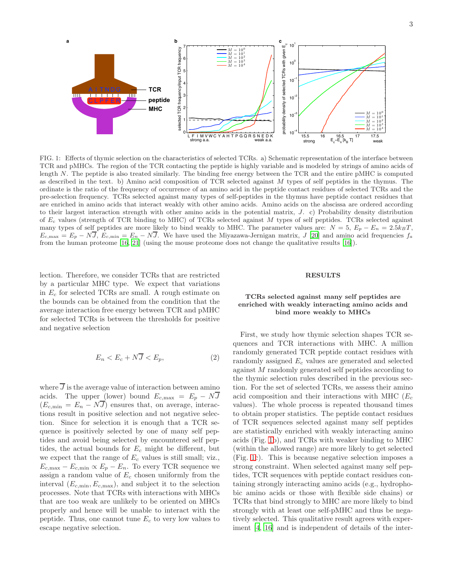

<span id="page-2-0"></span>FIG. 1: Effects of thymic selection on the characteristics of selected TCRs. a) Schematic representation of the interface between TCR and pMHCs. The region of the TCR contacting the peptide is highly variable and is modeled by strings of amino acids of length N. The peptide is also treated similarly. The binding free energy between the TCR and the entire pMHC is computed as described in the text. b) Amino acid composition of TCR selected against M types of self peptides in the thymus. The ordinate is the ratio of the frequency of occurrence of an amino acid in the peptide contact residues of selected TCRs and the pre-selection frequency. TCRs selected against many types of self-peptides in the thymus have peptide contact residues that are enriched in amino acids that interact weakly with other amino acids. Amino acids on the abscissa are ordered according to their largest interaction strength with other amino acids in the potential matrix, J. c) Probability density distribution of  $E_c$  values (strength of TCR binding to MHC) of TCRs selected against M types of self peptides. TCRs selected against many types of self peptides are more likely to bind weakly to MHC. The parameter values are:  $N = 5$ ,  $E_p - E_n = 2.5k_BT$ ,  $E_{c,\text{max}} = E_p - N \overline{J}$ ,  $E_{c,\text{min}} = E_n - N \overline{J}$ . We have used the Miyazawa-Jernigan matrix, J [\[20](#page-11-7)] and amino acid frequencies  $f_a$ from the human proteome [\[16](#page-11-2), [21](#page-11-8)] (using the mouse proteome does not change the qualitative results [\[16](#page-11-2)]).

lection. Therefore, we consider TCRs that are restricted by a particular MHC type. We expect that variations in  $E_c$  for selected TCRs are small. A rough estimate on the bounds can be obtained from the condition that the average interaction free energy between TCR and pMHC for selected TCRs is between the thresholds for positive and negative selection

$$
E_n < E_c + N\overline{J} < E_p,\tag{2}
$$

where  $\overline{J}$  is the average value of interaction between amino acids. The upper (lower) bound  $E_{c,\text{max}} = E_p - N\overline{J}$  $(E_{c,\text{min}} = E_n - N\overline{J})$  ensures that, on average, interactions result in positive selection and not negative selection. Since for selection it is enough that a TCR sequence is positively selected by one of many self peptides and avoid being selected by encountered self peptides, the actual bounds for  $E_c$  might be different, but we expect that the range of  $E_c$  values is still small; viz.,  $E_{c,\text{max}} - E_{c,\text{min}} \propto E_p - E_n$ . To every TCR sequence we assign a random value of  $E_c$  chosen uniformly from the interval  $(E_{c,\text{min}}, E_{c,\text{max}})$ , and subject it to the selection processes. Note that TCRs with interactions with MHCs that are too weak are unlikely to be oriented on MHCs properly and hence will be unable to interact with the peptide. Thus, one cannot tune  $E_c$  to very low values to escape negative selection.

# RESULTS

### TCRs selected against many self peptides are enriched with weakly interacting amino acids and bind more weakly to MHCs

First, we study how thymic selection shapes TCR sequences and TCR interactions with MHC. A million randomly generated TCR peptide contact residues with randomly assigned  $E_c$  values are generated and selected against M randomly generated self peptides according to the thymic selection rules described in the previous section. For the set of selected TCRs, we assess their amino acid composition and their interactions with MHC  $(E_c)$ values). The whole process is repeated thousand times to obtain proper statistics. The peptide contact residues of TCR sequences selected against many self peptides are statistically enriched with weakly interacting amino acids (Fig. [1b](#page-2-0)), and TCRs with weaker binding to MHC (within the allowed range) are more likely to get selected (Fig. [1c](#page-2-0)). This is because negative selection imposes a strong constraint. When selected against many self peptides, TCR sequences with peptide contact residues containing strongly interacting amino acids (e.g., hydrophobic amino acids or those with flexible side chains) or TCRs that bind strongly to MHC are more likely to bind strongly with at least one self-pMHC and thus be negatively selected. This qualitative result agrees with experiment [\[4](#page-10-4), [16](#page-11-2)] and is independent of details of the inter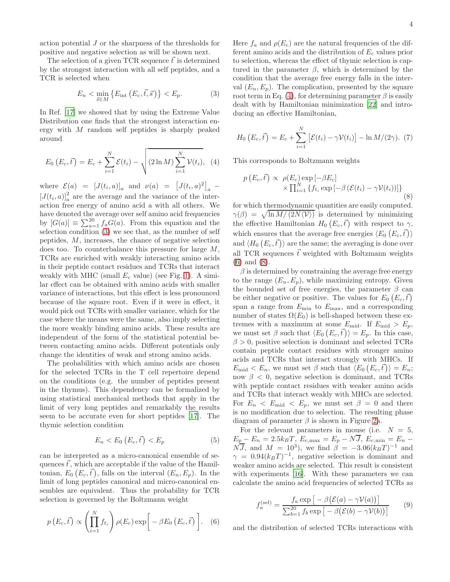action potential J or the sharpness of the thresholds for positive and negative selection as will be shown next.

The selection of a given TCR sequence  $\vec{t}$  is determined by the strongest interaction with all self peptides, and a TCR is selected when

<span id="page-3-0"></span>
$$
E_n < \min_{\vec{s} \in M} \left\{ E_{\text{int}} \left( E_c, \vec{t}, \vec{s} \right) \right\} < E_p. \tag{3}
$$

In Ref. [\[17](#page-11-3)] we showed that by using the Extreme Value Distribution one finds that the strongest interaction energy with M random self peptides is sharply peaked around

<span id="page-3-1"></span>
$$
E_0(E_c, \vec{t}) = E_c + \sum_{i=1}^{N} \mathcal{E}(t_i) - \sqrt{(2 \ln M) \sum_{i=1}^{N} \mathcal{V}(t_i)}, \quad (4)
$$

where  $\mathcal{E}(a) = [J(t_i, a)]_a$  and  $\nu(a) = [J(t_i, a)^2]_a$  - $[J(t_i, a)]_a^2$  are the average and the variance of the interaction free energy of amino acid a with all others. We have denoted the average over self amino acid frequencies by  $[G(a)] \equiv \sum_{a=1}^{20} f_a G(a)$ . From this equation and the selection condition [\(3\)](#page-3-0) we see that, as the number of self peptides, M, increases, the chance of negative selection does too. To counterbalance this pressure for large M, TCRs are enriched with weakly interacting amino acids in their peptide contact residues and TCRs that interact weakly with MHC (small  $E_c$  value) (see Fig. [1\)](#page-2-0). A similar effect can be obtained with amino acids with smaller variance of interactions, but this effect is less pronounced because of the square root. Even if it were in effect, it would pick out TCRs with smaller variance, which for the case where the means were the same, also imply selecting the more weakly binding amino acids. These results are independent of the form of the statistical potential between contacting amino acids. Different potentials only change the identities of weak and strong amino acids.

The probabilities with which amino acids are chosen for the selected TCRs in the T cell repertoire depend on the conditions (e.g. the number of peptides present in the thymus). This dependency can be formalized by using statistical mechanical methods that apply in the limit of very long peptides and remarkably the results seem to be accurate even for short peptides [\[17\]](#page-11-3). The thymic selection condition

$$
E_n < E_0\left(E_c, \vec{t}\right) < E_p \tag{5}
$$

can be interpreted as a micro-canonical ensemble of sequences  $\vec{t}$ , which are acceptable if the value of the Hamiltonian,  $E_0(E_c, \vec{t})$ , falls on the interval  $(E_n, E_p)$ . In the limit of long peptides canonical and micro-canonical ensembles are equivalent. Thus the probability for TCR selection is governed by the Boltzmann weight

<span id="page-3-2"></span>
$$
p(E_c, \vec{t}) \propto \left(\prod_{i=1}^N f_{t_i}\right) \rho(E_c) \exp\bigg[-\beta E_0\left(E_c, \vec{t}\right)\bigg]. \quad (6)
$$

Here  $f_a$  and  $\rho(E_c)$  are the natural frequencies of the different amino acids and the distribution of  $E_c$  values prior to selection, whereas the effect of thymic selection is captured in the parameter  $\beta$ , which is determined by the condition that the average free energy falls in the interval  $(E_n, E_p)$ . The complication, presented by the square root term in Eq. [\(4\)](#page-3-1), for determining parameter  $\beta$  is easily dealt with by Hamiltonian minimization [\[22\]](#page-11-9) and introducing an effective Hamiltonian,

$$
H_0(E_c, \vec{t}) = E_c + \sum_{i=1}^{N} [\mathcal{E}(t_i) - \gamma \mathcal{V}(t_i)] - \ln M/(2\gamma). \tag{7}
$$

This corresponds to Boltzmann weights

<span id="page-3-3"></span>
$$
p(E_c, \vec{t}) \propto \rho(E_c) \exp \left[-\beta E_c\right] \times \prod_{i=1}^{N} \left\{f_{t_i} \exp \left[-\beta \left(\mathcal{E}(t_i) - \gamma \mathcal{V}(t_i)\right)\right]\right\}
$$
\n(8)

for which thermodynamic quantities are easily computed.  $\gamma(\beta) = \sqrt{\ln M/(2N\langle V \rangle)}$  is determined by minimizing the effective Hamiltonian  $H_0(E_c, \vec{t})$  with respect to  $\gamma$ , which ensures that the average free energies  $\langle E_0 (E_c, \vec{t}) \rangle$ and  $\langle H_0(E_c,\vec{t})\rangle$  are the same; the averaging is done over all TCR sequences  $\vec{t}$  weighted with Boltzmann weights [\(6\)](#page-3-2) and [\(8\)](#page-3-3).

 $\beta$  is determined by constraining the average free energy to the range  $(E_n, E_p)$ , while maximizing entropy. Given the bounded set of free energies, the parameter  $\beta$  can be either negative or positive. The values for  $E_0(E_c, \vec{t})$ span a range from  $E_{\text{min}}$  to  $E_{\text{max}}$ , and a corresponding number of states  $\Omega(E_0)$  is bell-shaped between these extremes with a maximum at some  $E_{\text{mid}}$ . If  $E_{\text{mid}} > E_p$ , we must set  $\beta$  such that  $\langle E_0(E_c, \vec{t}) \rangle = E_p$ . In this case,  $\beta > 0$ , positive selection is dominant and selected TCRs contain peptide contact residues with stronger amino acids and TCRs that interact strongly with MHCs. If  $E_{\text{mid}} < E_n$ , we must set  $\beta$  such that  $\langle E_0(E_c, \vec{t}) \rangle = E_n;$ now  $\beta$  < 0, negative selection is dominant, and TCRs with peptide contact residues with weaker amino acids and TCRs that interact weakly with MHCs are selected. For  $E_n < E_{\text{mid}} < E_p$ , we must set  $\beta = 0$  and there is no modification due to selection. The resulting phase diagram of parameter  $\beta$  is shown in Figure [2a](#page-4-0).

For the relevant parameters in mouse (i.e.  $N = 5$ ,  $E_p - E_n = 2.5 k_B T$ ,  $E_{c,\text{max}} = E_p - NJ$ ,  $E_{c,\text{min}} = E_n N\overline{J}$ , and  $M = 10^3$ ), we find  $\hat{\beta} = -3.06(k_BT)^{-1}$  and  $\gamma = 0.94(k_BT)^{-1}$ , negative selection is dominant and weaker amino acids are selected. This result is consistent with experiments [\[16\]](#page-11-2). With these parameters we can calculate the amino acid frequencies of selected TCRs as

<span id="page-3-4"></span>
$$
f_a^{(\text{sel})} = \frac{f_a \exp\left[-\beta \left(\mathcal{E}(a) - \gamma \mathcal{V}(a)\right)\right]}{\sum_{b=1}^{20} f_b \exp\left[-\beta \left(\mathcal{E}(b) - \gamma \mathcal{V}(b)\right)\right]}
$$
(9)

and the distribution of selected TCRs interactions with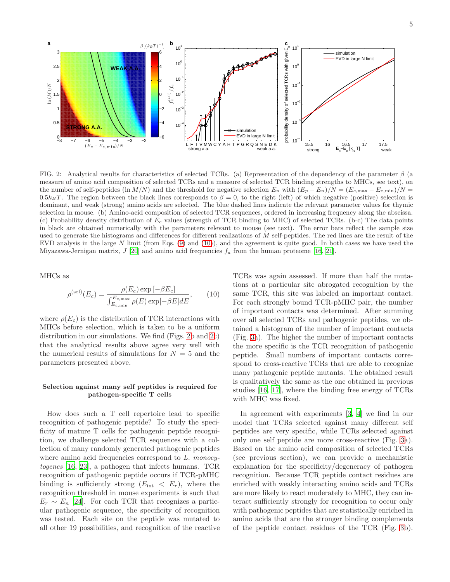

<span id="page-4-0"></span>FIG. 2: Analytical results for characteristics of selected TCRs. (a) Representation of the dependency of the parameter  $\beta$  (a measure of amino acid composition of selected TCRs and a measure of selected TCR binding strengths to MHCs, see text), on the number of self-peptides (ln M/N) and the threshold for negative selection  $E_n$  with  $(E_p - E_n)/N = (E_{c,\text{max}} - E_{c,\text{min}})/N =$ 0.5k<sub>B</sub>T. The region between the black lines corresponds to  $\beta = 0$ , to the right (left) of which negative (positive) selection is dominant, and weak (strong) amino acids are selected. The blue dashed lines indicate the relevant parameter values for thymic selection in mouse. (b) Amino-acid composition of selected TCR sequences, ordered in increasing frequency along the abscissa. (c) Probability density distribution of  $E_c$  values (strength of TCR binding to MHC) of selected TCRs. (b-c) The data points in black are obtained numerically with the parameters relevant to mouse (see text). The error bars reflect the sample size used to generate the histograms and differences for different realizations of M self-peptides. The red lines are the result of the EVD analysis in the large N limit (from Eqs. [\(9\)](#page-3-4) and [\(10\)](#page-4-1)), and the agreement is quite good. In both cases we have used the Miyazawa-Jernigan matrix, J [\[20](#page-11-7)] and amino acid frequencies  $f_a$  from the human proteome [\[16,](#page-11-2) [21\]](#page-11-8).

MHCs as

<span id="page-4-1"></span>
$$
\rho^{(\text{sel})}(E_c) = \frac{\rho(E_c) \exp\left[-\beta E_c\right]}{\int_{E_{c,\text{min}}}^{E_{c,\text{max}}} \rho(E) \exp\left[-\beta E\right] dE},\tag{10}
$$

where  $\rho(E_c)$  is the distribution of TCR interactions with MHCs before selection, which is taken to be a uniform distribution in our simulations. We find (Figs. [2b](#page-4-0) and [2c](#page-4-0)) that the analytical results above agree very well with the numerical results of simulations for  $N = 5$  and the parameters presented above.

### Selection against many self peptides is required for pathogen-specific T cells

How does such a T cell repertoire lead to specific recognition of pathogenic peptide? To study the specificity of mature T cells for pathogenic peptide recognition, we challenge selected TCR sequences with a collection of many randomly generated pathogenic peptides where amino acid frequencies correspond to L. monocytogenes [\[16,](#page-11-2) [23\]](#page-11-10), a pathogen that infects humans. TCR recognition of pathogenic peptide occurs if TCR-pMHC binding is sufficiently strong  $(E_{int} < E_r)$ , where the recognition threshold in mouse experiments is such that  $E_r \sim E_n$  [\[24](#page-11-11)]. For each TCR that recognizes a particular pathogenic sequence, the specificity of recognition was tested. Each site on the peptide was mutated to all other 19 possibilities, and recognition of the reactive

TCRs was again assessed. If more than half the mutations at a particular site abrogated recognition by the same TCR, this site was labeled an important contact. For each strongly bound TCR-pMHC pair, the number of important contacts was determined. After summing over all selected TCRs and pathogenic peptides, we obtained a histogram of the number of important contacts (Fig. [3a](#page-5-0)). The higher the number of important contacts the more specific is the TCR recognition of pathogenic peptide. Small numbers of important contacts correspond to cross-reactive TCRs that are able to recognize many pathogenic peptide mutants. The obtained result is qualitatively the same as the one obtained in previous studies [\[16,](#page-11-2) [17](#page-11-3)], where the binding free energy of TCRs with MHC was fixed.

In agreement with experiments [\[3](#page-10-3), [4\]](#page-10-4) we find in our model that TCRs selected against many different self peptides are very specific, while TCRs selected against only one self peptide are more cross-reactive (Fig. [3a](#page-5-0)). Based on the amino acid composition of selected TCRs (see previous section), we can provide a mechanistic explanation for the specificity/degeneracy of pathogen recognition. Because TCR peptide contact residues are enriched with weakly interacting amino acids and TCRs are more likely to react moderately to MHC, they can interact sufficiently strongly for recognition to occur only with pathogenic peptides that are statistically enriched in amino acids that are the stronger binding complements of the peptide contact residues of the TCR (Fig. [3b](#page-5-0)).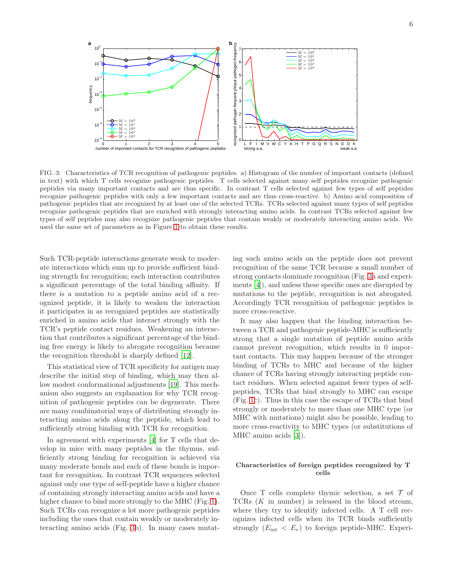

<span id="page-5-0"></span>FIG. 3: Characteristics of TCR recognition of pathogenic peptides. a) Histogram of the number of important contacts (defined in text) with which T cells recognize pathogenic peptides. T cells selected against many self peptides recognize pathogenic peptides via many important contacts and are thus specific. In contrast T cells selected against few types of self peptides recognize pathogenic peptides with only a few important contacts and are thus cross-reactive. b) Amino acid composition of pathogenic peptides that are recognized by at least one of the selected TCRs. TCRs selected against many types of self peptides recognize pathogenic peptides that are enriched with strongly interacting amino acids. In contrast TCRs selected against few types of self peptides may also recognize pathogenic peptides that contain weakly or moderately interacting amino acids. We used the same set of parameters as in Figure [1](#page-2-0) to obtain these results.

Such TCR-peptide interactions generate weak to moderate interactions which sum up to provide sufficient binding strength for recognition; each interaction contributes a significant percentage of the total binding affinity. If there is a mutation to a peptide amino acid of a recognized peptide, it is likely to weaken the interaction it participates in as recognized peptides are statistically enriched in amino acids that interact strongly with the TCR's peptide contact residues. Weakening an interaction that contributes a significant percentage of the binding free energy is likely to abrogate recognition because the recognition threshold is sharply defined [\[12\]](#page-10-7).

This statistical view of TCR specificity for antigen may describe the initial step of binding, which may then allow modest conformational adjustments [\[19\]](#page-11-5). This mechanism also suggests an explanation for why TCR recognition of pathogenic peptides can be degenerate. There are many combinatorial ways of distributing strongly interacting amino acids along the peptide, which lead to sufficiently strong binding with TCR for recognition.

In agreement with experiments [\[4\]](#page-10-4) for T cells that develop in mice with many peptides in the thymus, sufficiently strong binding for recognition is achieved via many moderate bonds and each of these bonds is important for recognition. In contrast TCR sequences selected against only one type of self-peptide have a higher chance of containing strongly interacting amino acids and have a higher chance to bind more strongly to the MHC (Fig. [1\)](#page-2-0). Such TCRs can recognize a lot more pathogenic peptides including the ones that contain weakly or moderately interacting amino acids (Fig. [3b](#page-5-0)). In many cases mutating such amino acids on the peptide does not prevent recognition of the same TCR because a small number of strong contacts dominate recognition (Fig. [3a](#page-5-0) and experiments [\[4](#page-10-4)]), and unless these specific ones are disrupted by mutations to the peptide, recognition is not abrogated. Accordingly TCR recognition of pathogenic peptides is more cross-reactive.

It may also happen that the binding interaction between a TCR and pathogenic peptide-MHC is sufficiently strong that a single mutation of peptide amino acids cannot prevent recognition, which results in 0 important contacts. This may happen because of the stronger binding of TCRs to MHC and because of the higher chance of TCRs having strongly interacting peptide contact residues. When selected against fewer types of selfpeptides, TCRs that bind strongly to MHC can escape (Fig. [1c](#page-2-0)). Thus in this case the escape of TCRs that bind strongly or moderately to more than one MHC type (or MHC with mutations) might also be possible, leading to more cross-reactivity to MHC types (or substitutions of MHC amino acids [\[3\]](#page-10-3)).

## Characteristics of foreign peptides recognized by T cells

Once T cells complete thymic selection, a set  $\mathcal T$  of TCRs (K in number) is released in the blood stream, where they try to identify infected cells. A T cell recognizes infected cells when its TCR binds sufficiently strongly  $(E_{\text{int}} < E_r)$  to foreign peptide-MHC. Experi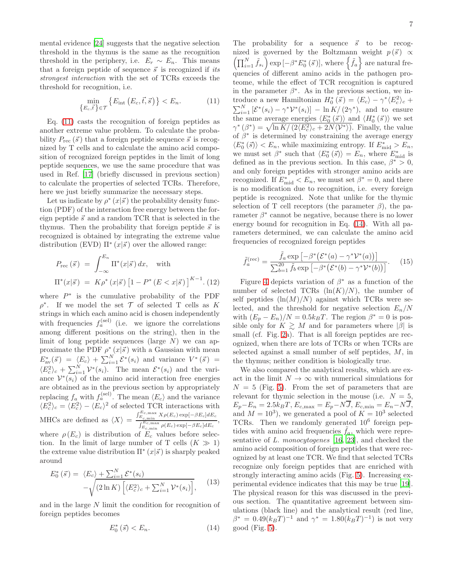mental evidence [\[24\]](#page-11-11) suggests that the negative selection threshold in the thymus is the same as the recognition threshold in the periphery, i.e.  $E_r \sim E_n$ . This means that a foreign peptide of sequence  $\vec{s}$  is recognized if its strongest interaction with the set of TCRs exceeds the threshold for recognition, i.e.

<span id="page-6-0"></span>
$$
\min_{\{E_c, \vec{t}\} \in \mathcal{T}} \left\{ E_{\text{int}} \left( E_c, \vec{t}, \vec{s} \right) \right\} < E_n. \tag{11}
$$

Eq. [\(11\)](#page-6-0) casts the recognition of foreign peptides as another extreme value problem. To calculate the probability  $P_{\text{rec}}(\vec{s})$  that a foreign peptide sequence  $\vec{s}$  is recognized by T cells and to calculate the amino acid composition of recognized foreign peptides in the limit of long peptide sequences, we use the same procedure that was used in Ref. [\[17\]](#page-11-3) (briefly discussed in previous section) to calculate the properties of selected TCRs. Therefore, here we just briefly summarize the necessary steps.

Let us indicate by  $\rho^*(x|\vec{s})$  the probability density function (PDF) of the interaction free energy between the foreign peptide  $\vec{s}$  and a random TCR that is selected in the thymus. Then the probability that foreign peptide  $\vec{s}$  is recognized is obtained by integrating the extreme value distribution (EVD)  $\Pi^*(x|\vec{s})$  over the allowed range:

$$
P_{\text{rec}}\left(\vec{s}\right) = \int_{-\infty}^{E_n} \Pi^*(x|\vec{s}) dx, \quad \text{with}
$$

$$
\Pi^*(x|\vec{s}) = K\rho^*\left(x|\vec{s}\right) \left[1 - P^*\left(E < x|\vec{s}\right)\right]^{K-1} . \tag{12}
$$

where  $P^*$  is the cumulative probability of the PDF  $\rho^*$ . If we model the set  $\mathcal T$  of selected T cells as K strings in which each amino acid is chosen independently with frequencies  $f_a^{(sel)}$  (i.e. we ignore the correlations among different positions on the string), then in the limit of long peptide sequences (large  $N$ ) we can approximate the PDF  $\rho^*(x|\vec{s})$  with a Gaussian with mean  $E^*_{av}(\vec{s}) = \langle E_c \rangle + \sum_{i=1}^N \mathcal{E}^*(s_i)$  and variance  $V^*(\vec{s}) =$  $\langle E_c^2 \rangle_c + \sum_{i=1}^N \mathcal{V}^*(s_i)$ . The mean  $\mathcal{E}^*(s_i)$  and the variance  $\mathcal{V}^*(s_i)$  of the amino acid interaction free energies are obtained as in the previous section by appropriately replacing  $f_a$  with  $f_a^{\text{(sel)}}$ . The mean  $\langle E_c \rangle$  and the variance  $\langle E_c^2 \rangle_c = \langle E_c^2 \rangle - \langle E_c \rangle^2$  of selected TCR interactions with MHCs are defined as  $\langle X \rangle =$  $\int_{E_{c,\text{min}}}^{E_{c,\text{max}}} X \rho(E_c) \exp[-\beta E_c] dE_c$  $\frac{E_{c,\text{min}}}{\int_{E_{c,\text{min}}}^{E_{c,\text{max}}} \rho(E_c) \exp[-\beta E_c] dE_c},$ where  $\rho(E_c)$  is distribution of  $E_c$  values before selection. In the limit of large number of T cells  $(K \gg 1)$ 

$$
E_0^*(\vec{s}) = \langle E_c \rangle + \sum_{i=1}^N \mathcal{E}^*(s_i)
$$

$$
-\sqrt{(2 \ln K) \left[ \langle E_c^2 \rangle_c + \sum_{i=1}^N \mathcal{V}^*(s_i) \right]}, \quad (13)
$$

the extreme value distribution  $\Pi^*(x|\vec{s})$  is sharply peaked

around

and in the large N limit the condition for recognition of foreign peptides becomes

<span id="page-6-1"></span>
$$
E_0^*(\vec{s}) < E_n. \tag{14}
$$

The probability for a sequence  $\vec{s}$  to be recognized is governed by the Boltzmann weight  $p(\vec{s}) \propto$  $\left(\prod_{i=1}^N \tilde{f}_{s_i}\right)$  exp  $\left[-\beta^* E_0^*(\vec{s})\right]$ , where  $\left\{\tilde{f}_a\right\}$  are natural frequencies of different amino acids in the pathogen proteome, while the effect of TCR recognition is captured in the parameter  $\beta^*$ . As in the previous section, we introduce a new Hamiltonian  $H_0^*(\vec{s}) = \langle E_c \rangle - \gamma^* \langle E_c^2 \rangle_c +$  $\sum_{i=1}^{N} \left[ \mathcal{E}^*(s_i) - \gamma^* \mathcal{V}^*(s_i) \right] - \ln K / (2\gamma^*)$ , and to ensure the same average energies  $\langle E_0^*(\vec{s})\rangle$  and  $\langle H_0^*(\vec{s})\rangle$  we set  $\gamma^*(\beta^*) = \sqrt{\ln K / (2 \langle E_c^2 \rangle_c + 2N \langle V^* \rangle)}$ . Finally, the value of  $\beta^*$  is determined by constraining the average energy  $\langle E_0^*(\vec{s})\rangle < E_n$ , while maximizing entropy. If  $E_{mid}^* > E_n$ , we must set  $\beta^*$  such that  $\langle E_0^* (\vec{s}) \rangle = E_n$ , where  $E_{\text{mid}}^*$  is defined as in the previous section. In this case,  $\beta^* > 0$ , and only foreign peptides with stronger amino acids are recognized. If  $E_{mid}^* < E_n$ , we must set  $\beta^* = 0$ , and there is no modification due to recognition, i.e. every foreign peptide is recognized. Note that unlike for the thymic selection of T cell receptors (the parameter  $\beta$ ), the parameter  $\beta^*$  cannot be negative, because there is no lower energy bound for recognition in Eq. [\(14\)](#page-6-1). With all parameters determined, we can calculate the amino acid frequencies of recognized foreign peptides

<span id="page-6-2"></span>
$$
\tilde{f}_a^{\text{(rec)}} = \frac{\tilde{f}_a \exp\left[-\beta^* \left(\mathcal{E}^*(a) - \gamma^* \mathcal{V}^*(a)\right)\right]}{\sum_{b=1}^{20} \tilde{f}_b \exp\left[-\beta^* \left(\mathcal{E}^*(b) - \gamma^* \mathcal{V}^*(b)\right)\right]}.
$$
(15)

Figure [4](#page-7-0) depicts variation of  $\beta^*$  as a function of the number of selected TCRs  $(\ln(K)/N)$ , the number of self peptides  $(\ln(M)/N)$  against which TCRs were selected, and the threshold for negative selection  $E_n/N$ with  $(E_p - E_n)/N = 0.5k_BT$ . The region  $\beta^* = 0$  is possible only for  $K \gtrsim M$  and for parameters where  $|\beta|$  is small (cf. Fig. [2a](#page-4-0)). That is all foreign peptides are recognized, when there are lots of TCRs or when TCRs are selected against a small number of self peptides, M, in the thymus; neither condition is biologically true.

We also compared the analytical results, which are exact in the limit  $N \to \infty$  with numerical simulations for  $N = 5$  (Fig. [5\)](#page-7-1). From the set of parameters that are relevant for thymic selection in the mouse (i.e.  $N = 5$ ,  $E_p-E_n=2.5k_BT, E_{c,\text{max}}=E_p-N\overline{J}, E_{c,\text{min}}=E_n-N\overline{J},$ and  $M = 10^3$ , we generated a pool of  $K = 10^3$  selected TCRs. Then we randomly generated  $10^6$  foreign peptides with amino acid frequencies  $\hat{f}_a$ , which were repre-sentative of L. monocytogenes [\[16,](#page-11-2) [23](#page-11-10)], and checked the amino acid composition of foreign peptides that were recognized by at least one TCR. We find that selected TCRs recognize only foreign peptides that are enriched with strongly interacting amino acids (Fig. [5\)](#page-7-1). Increasing experimental evidence indicates that this may be true [\[19\]](#page-11-5). The physical reason for this was discussed in the previous section. The quantitative agreement between simulations (black line) and the analytical result (red line,  $\beta^* = 0.49(k_BT)^{-1}$  and  $\gamma^* = 1.80(k_BT)^{-1}$  is not very  $good (Fig. 5).$  $good (Fig. 5).$  $good (Fig. 5).$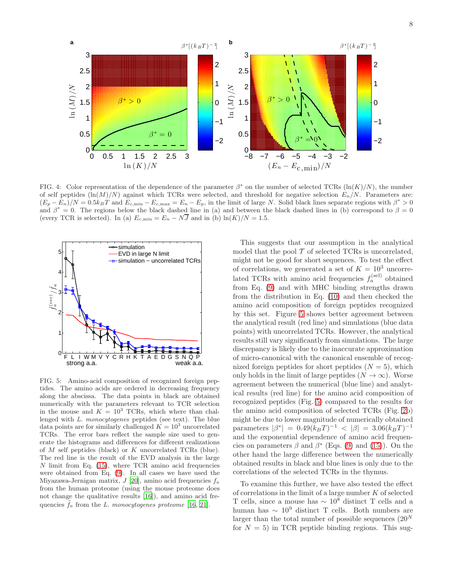

<span id="page-7-0"></span>FIG. 4: Color representation of the dependence of the parameter  $\beta^*$  on the number of selected TCRs (ln(K)/N), the number of self peptides  $(\ln(M)/N)$  against which TCRs were selected, and threshold for negative selection  $E_n/N$ . Parameters are:  $(E_p - E_n)/N = 0.5k_BT$  and  $E_{c,min} - E_{c,max} = E_n - E_p$ , in the limit of large N. Solid black lines separate regions with  $\beta^* > 0$ and  $\beta^* = 0$ . The regions below the black dashed line in (a) and between the black dashed lines in (b) correspond to  $\beta = 0$ (every TCR is selected). In (a)  $E_{c,min} = E_n - N\overline{J}$  and in (b)  $\ln(K)/N = 1.5$ .



<span id="page-7-1"></span>FIG. 5: Amino-acid composition of recognized foreign peptides. The amino acids are ordered in decreasing frequency along the abscissa. The data points in black are obtained numerically with the parameters relevant to TCR selection in the mouse and  $K = 10^3$  TCRs, which where than challenged with L. monocytogenes peptides (see text). The blue data points are for similarly challenged  $K = 10^3$  uncorrelated TCRs. The error bars reflect the sample size used to generate the histograms and differences for different realizations of M self peptides (black) or K uncorrelated TCRs (blue). The red line is the result of the EVD analysis in the large  $N$  limit from Eq. [\(15\)](#page-6-2), where TCR amino acid frequencies were obtained from Eq. [\(9\)](#page-3-4). In all cases we have used the Miyazawa-Jernigan matrix,  $J$  [\[20](#page-11-7)], amino acid frequencies  $f_a$ from the human proteome (using the mouse proteome does not change the qualitative results [\[16](#page-11-2)]), and amino acid frequencies  $\tilde{f}_a$  from the L. monocytogenes proteome [\[16](#page-11-2), [21](#page-11-8)].

This suggests that our assumption in the analytical model that the pool  $\mathcal T$  of selected TCRs is uncorrelated, might not be good for short sequences. To test the effect of correlations, we generated a set of  $K = 10^3$  uncorrelated TCRs with amino acid frequencies  $f_a^{(sel)}$  obtained from Eq. [\(9\)](#page-3-4) and with MHC binding strengths drawn from the distribution in Eq. [\(10\)](#page-4-1) and then checked the amino acid composition of foreign peptides recognized by this set. Figure [5](#page-7-1) shows better agreement between the analytical result (red line) and simulations (blue data points) with uncorrelated TCRs. However, the analytical results still vary significantly from simulations. The large discrepancy is likely due to the inaccurate approximation of micro-canonical with the canonical ensemble of recognized foreign peptides for short peptides  $(N = 5)$ , which only holds in the limit of large peptides  $(N \to \infty)$ . Worse agreement between the numerical (blue line) and analytical results (red line) for the amino acid composition of recognized peptides (Fig. [5\)](#page-7-1) compared to the results for the amino acid composition of selected TCRs (Fig. [2b](#page-4-0)) might be due to lower magnitude of numerically obtained parameters  $|\beta^*| = 0.49(k_BT)^{-1} < |\beta| = 3.06(k_BT)^{-1}$ and the exponential dependence of amino acid frequencies on parameters  $\beta$  and  $\beta^*$  (Eqs. [\(9\)](#page-3-4) and [\(15\)](#page-6-2)). On the other hand the large difference between the numerically obtained results in black and blue lines is only due to the correlations of the selected TCRs in the thymus.

To examine this further, we have also tested the effect of correlations in the limit of a large number K of selected T cells, since a mouse has  $\sim 10^8$  distinct T cells and a human has  $\sim 10^9$  distinct T cells. Both numbers are larger than the total number of possible sequences  $(20<sup>N</sup>)$ for  $N = 5$ ) in TCR peptide binding regions. This sug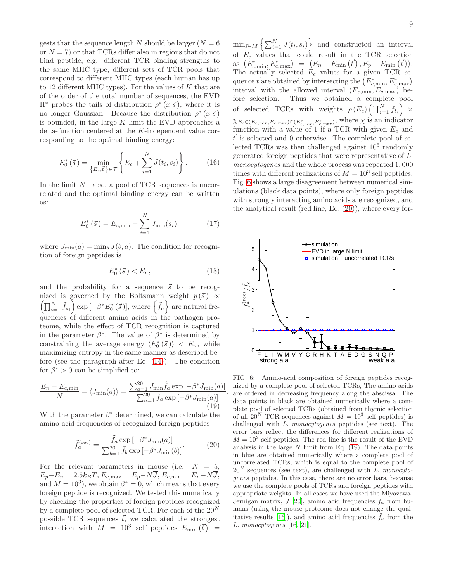gests that the sequence length N should be larger  $(N = 6)$ or  $N = 7$ ) or that TCRs differ also in regions that do not bind peptide, e.g. different TCR binding strengths to the same MHC type, different sets of TCR pools that correspond to different MHC types (each human has up to 12 different MHC types). For the values of  $K$  that are of the order of the total number of sequences, the EVD  $\Pi^*$  probes the tails of distribution  $\rho^*(x|\vec{s})$ , where it is no longer Gaussian. Because the distribution  $\rho^*(x|\vec{s})$ is bounded, in the large  $K$  limit the EVD approaches a delta-function centered at the K-independent value corresponding to the optimal binding energy:

$$
E_0^*(\vec{s}) = \min_{\{E_c, \vec{t}\} \in \mathcal{T}} \left\{ E_c + \sum_{i=1}^N J(t_i, s_i) \right\}.
$$
 (16)

In the limit  $N \to \infty$ , a pool of TCR sequences is uncorrelated and the optimal binding energy can be written as:

<span id="page-8-3"></span>
$$
E_0^*(\vec{s}) = E_{c,\min} + \sum_{i=1}^N J_{\min}(s_i),\tag{17}
$$

where  $J_{\min}(a) = \min_b J(b, a)$ . The condition for recognition of foreign peptides is

<span id="page-8-4"></span>
$$
E_0^*(\vec{s}) < E_n,\tag{18}
$$

and the probability for a sequence  $\vec{s}$  to be recognized is governed by the Boltzmann weight  $p(\vec{s}) \propto$  $\left(\prod_{i=1}^N \tilde{f}_{s_i}\right)$  exp  $\left[-\beta^* E_0^*(\vec{s})\right]$ , where  $\left\{\tilde{f}_a\right\}$  are natural frequencies of different amino acids in the pathogen proteome, while the effect of TCR recognition is captured in the parameter  $\beta^*$ . The value of  $\beta^*$  is determined by constraining the average energy  $\langle E_0^*(\vec{s})\rangle < E_n$ , while maximizing entropy in the same manner as described before (see the paragraph after Eq. [\(14\)](#page-6-1)). The condition for  $\beta^* > 0$  can be simplified to:

<span id="page-8-2"></span>
$$
\frac{E_n - E_{c,\min}}{N} = \langle J_{\min}(a) \rangle = \frac{\sum_{a=1}^{20} J_{\min} \tilde{f}_a \exp \left[ -\beta^* J_{\min}(a) \right]}{\sum_{a=1}^{20} \tilde{f}_a \exp \left[ -\beta^* J_{\min}(a) \right]}.
$$
\n(19)

With the parameter  $\beta^*$  determined, we can calculate the amino acid frequencies of recognized foreign peptides

<span id="page-8-1"></span>
$$
\tilde{f}_a^{(\text{rec})} = \frac{\tilde{f}_a \exp\left[-\beta^* J_{\text{min}}(a)\right]}{\sum_{b=1}^{20} \tilde{f}_b \exp\left[-\beta^* J_{\text{min}}(b)\right]}.
$$
\n(20)

For the relevant parameters in mouse (i.e.  $N = 5$ ,  $E_p - E_n = 2.5 k_B T$ ,  $E_{c, max} = E_p - NJ$ ,  $E_{c, min} = E_n - NJ$ , and  $M = 10^3$ , we obtain  $\beta^* = 0$ , which means that every foreign peptide is recognized. We tested this numerically by checking the properties of foreign peptides recognized by a complete pool of selected TCR. For each of the  $20<sup>N</sup>$ possible TCR sequences  $\vec{t}$ , we calculated the strongest interaction with  $M = 10^3$  self peptides  $E_{\text{min}}(\vec{t}) =$ 

 $\min_{\vec{s} \in M} \left\{ \sum_{i=1}^{N} J(t_i, s_i) \right\}$  and constructed an interval of  $E_c$  values that could result in the TCR selection as  $(E_{c,\min}^*, E_{c,\max}^*) = (E_n - E_{\min}(\vec{t}), E_p - E_{\min}(\vec{t})).$ The actually selected  $E_c$  values for a given TCR sequence  $\vec{t}$  are obtained by intersecting the  $(E_{c,\min}^*, E_{c,\max}^*)$ interval with the allowed interval  $(E_{c,\min}, E_{c,\max})$  before selection. Thus we obtained a complete pool of selected TCRs with weights  $\rho(E_c) \left( \prod_{i=1}^N f_{t_i} \right) \times$  $\chi_{E_c \in (E_{c,\min}, E_{c,\max}) \cap (E^*_{c,\min}, E^*_{c,\max})}$ , where  $\chi$  is an indicator function with a value of 1 if a TCR with given  $E_c$  and  $\vec{t}$  is selected and 0 otherwise. The complete pool of selected TCRs was then challenged against  $10^5$  randomly generated foreign peptides that were representative of L. monocytogenes and the whole process was repeated 1,000 times with different realizations of  $M = 10^3$  self peptides. Fig. [6](#page-8-0) shows a large disagreement between numerical simulations (black data points), where only foreign peptides with strongly interacting amino acids are recognized, and the analytical result (red line, Eq. [\(20\)](#page-8-1)), where every for-



<span id="page-8-0"></span>FIG. 6: Amino-acid composition of foreign peptides recognized by a complete pool of selected TCRs, The amino acids are ordered in decreasing frequency along the abscissa. The data points in black are obtained numerically where a complete pool of selected TCRs (obtained from thymic selection of all  $20^N$  TCR sequences against  $M = 10^3$  self peptides) is challenged with L. monocytogenes peptides (see text). The error bars reflect the differences for different realizations of  $M = 10<sup>3</sup>$  self peptides. The red line is the result of the EVD analysis in the large  $N$  limit from Eq. [\(19\)](#page-8-2). The data points in blue are obtained numerically where a complete pool of uncorrelated TCRs, which is equal to the complete pool of  $20<sup>N</sup>$  sequences (see text), are challenged with  $\hat{L}$ . monocytogenes peptides. In this case, there are no error bars, because we use the complete pools of TCRs and foreign peptides with appropriate weights. In all cases we have used the Miyazawa-Jernigan matrix,  $J$  [\[20](#page-11-7)], amino acid frequencies  $f_a$  from humans (using the mouse proteome does not change the qual-itative results [\[16\]](#page-11-2)), and amino acid frequencies  $\tilde{f}_a$  from the L. monocytogenes [\[16,](#page-11-2) [21\]](#page-11-8).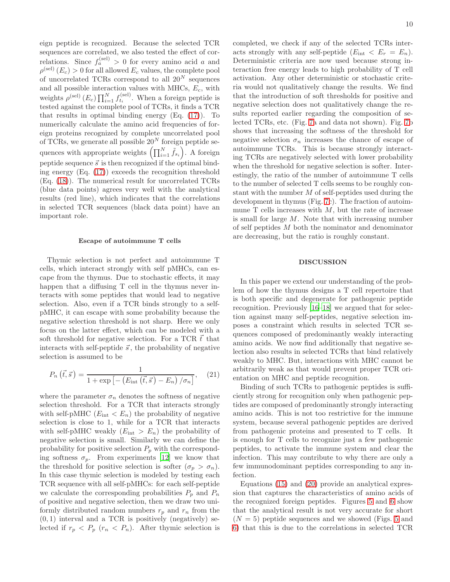eign peptide is recognized. Because the selected TCR sequences are correlated, we also tested the effect of correlations. Since  $f_a^{(sel)} > 0$  for every amino acid a and  $\rho^{\text{(sel)}}(E_c) > 0$  for all allowed  $E_c$  values, the complete pool of uncorrelated TCRs correspond to all  $20<sup>N</sup>$  sequences and all possible interaction values with MHCs,  $E_c$ , with weights  $\rho^{(\text{sel})}(E_c) \prod_{i=1}^{N} f_{t_i}^{(\text{sel})}$ . When a foreign peptide is tested against the complete pool of TCRs, it finds a TCR that results in optimal binding energy (Eq. [\(17\)](#page-8-3)). To numerically calculate the amino acid frequencies of foreign proteins recognized by complete uncorrelated pool of TCRs, we generate all possible  $20<sup>N</sup>$  foreign peptide sequences with appropriate weights  $\left(\prod_{i=1}^N \tilde{f}_{s_i}\right)$ . A foreign peptide sequence  $\vec{s}$  is then recognized if the optimal binding energy (Eq. [\(17\)](#page-8-3)) exceeds the recognition threshold (Eq. [\(18\)](#page-8-4)). The numerical result for uncorrelated TCRs (blue data points) agrees very well with the analytical results (red line), which indicates that the correlations in selected TCR sequences (black data point) have an important role.

#### Escape of autoimmune T cells

Thymic selection is not perfect and autoimmune T cells, which interact strongly with self pMHCs, can escape from the thymus. Due to stochastic effects, it may happen that a diffusing T cell in the thymus never interacts with some peptides that would lead to negative selection. Also, even if a TCR binds strongly to a selfpMHC, it can escape with some probability because the negative selection threshold is not sharp. Here we only focus on the latter effect, which can be modeled with a soft threshold for negative selection. For a TCR  $\vec{t}$  that interacts with self-peptide  $\vec{s}$ , the probability of negative selection is assumed to be

$$
P_n\left(\vec{t},\vec{s}\right) = \frac{1}{1 + \exp\left[-\left(E_{\text{int}}\left(\vec{t},\vec{s}\right) - E_n\right)/\sigma_n\right]},\tag{21}
$$

where the parameter  $\sigma_n$  denotes the softness of negative selection threshold. For a TCR that interacts strongly with self-pMHC  $(E_{int} < E_n)$  the probability of negative selection is close to 1, while for a TCR that interacts with self-pMHC weakly  $(E_{int} > E_n)$  the probability of negative selection is small. Similarly we can define the probability for positive selection  $P_p$  with the corresponding softness  $\sigma_p$ . From experiments [\[12\]](#page-10-7) we know that the threshold for positive selection is softer  $(\sigma_p > \sigma_n)$ . In this case thymic selection is modeled by testing each TCR sequence with all self-pMHCs: for each self-peptide we calculate the corresponding probabilities  $P_p$  and  $P_n$ of positive and negative selection, then we draw two uniformly distributed random numbers  $r_p$  and  $r_n$  from the  $(0, 1)$  interval and a TCR is positively (negatively) selected if  $r_p < P_p$   $(r_n < P_n)$ . After thymic selection is

completed, we check if any of the selected TCRs interacts strongly with any self-peptide  $(E_{\text{int}} < E_r = E_n)$ . Deterministic criteria are now used because strong interaction free energy leads to high probability of T cell activation. Any other deterministic or stochastic criteria would not qualitatively change the results. We find that the introduction of soft thresholds for positive and negative selection does not qualitatively change the results reported earlier regarding the composition of selected TCRs, etc. (Fig. [7a](#page-10-8) and data not shown). Fig. [7b](#page-10-8) shows that increasing the softness of the threshold for negative selection  $\sigma_n$  increases the chance of escape of autoimmune TCRs. This is because strongly interacting TCRs are negatively selected with lower probability when the threshold for negative selection is softer. Interestingly, the ratio of the number of autoimmune T cells to the number of selected T cells seems to be roughly constant with the number  $M$  of self-peptides used during the development in thymus (Fig. [7c](#page-10-8)). The fraction of autoimmune  $T$  cells increases with  $M$ , but the rate of increase is small for large  $M$ . Note that with increasing number of self peptides M both the nominator and denominator are decreasing, but the ratio is roughly constant.

#### DISCUSSION

In this paper we extend our understanding of the problem of how the thymus designs a T cell repertoire that is both specific and degenerate for pathogenic peptide recognition. Previously [\[16](#page-11-2)[–18\]](#page-11-4) we argued that for selection against many self-peptides, negative selection imposes a constraint which results in selected TCR sequences composed of predominantly weakly interacting amino acids. We now find additionally that negative selection also results in selected TCRs that bind relatively weakly to MHC. But, interactions with MHC cannot be arbitrarily weak as that would prevent proper TCR orientation on MHC and peptide recognition.

Binding of such TCRs to pathogenic peptides is sufficiently strong for recognition only when pathogenic peptides are composed of predominantly strongly interacting amino acids. This is not too restrictive for the immune system, because several pathogenic peptides are derived from pathogenic proteins and presented to T cells. It is enough for T cells to recognize just a few pathogenic peptides, to activate the immune system and clear the infection. This may contribute to why there are only a few immunodominant peptides corresponding to any infection.

Equations [\(15\)](#page-6-2) and [\(20\)](#page-8-1) provide an analytical expression that captures the characteristics of amino acids of the recognized foreign peptides. Figures [5](#page-7-1) and [6](#page-8-0) show that the analytical result is not very accurate for short  $(N = 5)$  $(N = 5)$  $(N = 5)$  peptide sequences and we showed (Figs. 5 and [6\)](#page-8-0) that this is due to the correlations in selected TCR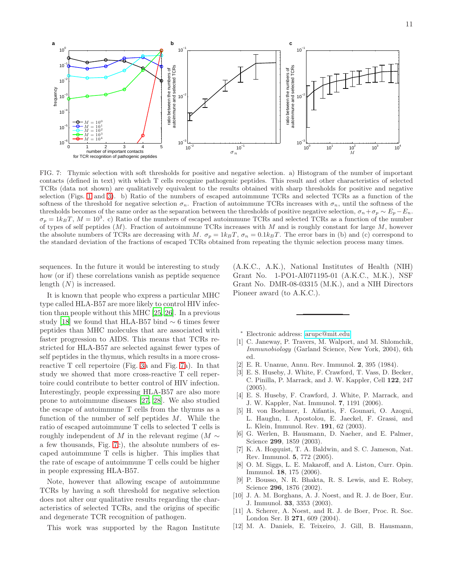

<span id="page-10-8"></span>FIG. 7: Thymic selection with soft thresholds for positive and negative selection. a) Histogram of the number of important contacts (defined in text) with which T cells recognize pathogenic peptides. This result and other characteristics of selected TCRs (data not shown) are qualitatively equivalent to the results obtained with sharp thresholds for positive and negative selection (Figs. [1](#page-2-0) and [3\)](#page-5-0). b) Ratio of the numbers of escaped autoimmune TCRs and selected TCRs as a function of the softness of the threshold for negative selection  $\sigma_n$ . Fraction of autoimmune TCRs increases with  $\sigma_n$ , until the softness of the thresholds becomes of the same order as the separation between the thresholds of positive negative selection,  $\sigma_n + \sigma_p \sim E_p - E_n$ .  $\sigma_p = 1k_BT$ ,  $M = 10^3$ . c) Ratio of the numbers of escaped autoimmune TCRs and selected TCRs as a function of the number of types of self peptides  $(M)$ . Fraction of autoimmune TCRs increases with M and is roughly constant for large  $M$ , however the absolute numbers of TCRs are decreasing with M.  $\sigma_p = 1k_BT$ ,  $\sigma_n = 0.1k_BT$ . The error bars in (b) and (c) correspond to the standard deviation of the fractions of escaped TCRs obtained from repeating the thymic selection process many times.

sequences. In the future it would be interesting to study how (or if) these correlations vanish as peptide sequence length  $(N)$  is increased.

It is known that people who express a particular MHC type called HLA-B57 are more likely to control HIV infection than people without this MHC [\[25](#page-11-12), [26](#page-11-13)]. In a previous study [\[18](#page-11-4)] we found that HLA-B57 bind  $\sim$  6 times fewer peptides than MHC molecules that are associated with faster progression to AIDS. This means that TCRs restricted for HLA-B57 are selected against fewer types of self peptides in the thymus, which results in a more crossreactive T cell repertoire (Fig. [3a](#page-5-0) and Fig. [7a](#page-10-8)). In that study we showed that more cross-reactive T cell repertoire could contribute to better control of HIV infection. Interestingly, people expressing HLA-B57 are also more prone to autoimmune diseases [\[27,](#page-11-14) [28\]](#page-11-15). We also studied the escape of autoimmune T cells from the thymus as a function of the number of self peptides  $M$ . While the ratio of escaped autoimmune T cells to selected T cells is roughly independent of M in the relevant regime ( $M \sim$ a few thousands, Fig. [7c](#page-10-8)), the absolute numbers of escaped autoimmune T cells is higher. This implies that the rate of escape of autoimmune T cells could be higher in people expressing HLA-B57.

Note, however that allowing escape of autoimmune TCRs by having a soft threshold for negative selection does not alter our qualitative results regarding the characteristics of selected TCRs, and the origins of specific and degenerate TCR recognition of pathogen.

This work was supported by the Ragon Institute

(A.K.C., A.K.), National Institutes of Health (NIH) Grant No. 1-PO1-AI071195-01 (A.K.C., M.K.), NSF Grant No. DMR-08-03315 (M.K.), and a NIH Directors Pioneer award (to A.K.C.).

- <span id="page-10-0"></span><sup>∗</sup> Electronic address: [arupc@mit.edu](mailto:arupc@mit.edu)
- <span id="page-10-1"></span>[1] C. Janeway, P. Travers, M. Walport, and M. Shlomchik, Immunobiology (Garland Science, New York, 2004), 6th ed.
- <span id="page-10-2"></span>[2] E. R. Unanue, Annu. Rev. Immunol. 2, 395 (1984).
- <span id="page-10-3"></span>[3] E. S. Huseby, J. White, F. Crawford, T. Vass, D. Becker, C. Pinilla, P. Marrack, and J. W. Kappler, Cell 122, 247  $(2005).$
- <span id="page-10-4"></span>[4] E. S. Huseby, F. Crawford, J. White, P. Marrack, and J. W. Kappler, Nat. Immunol. 7, 1191 (2006).
- <span id="page-10-5"></span>[5] H. von Boehmer, I. Aifantis, F. Gounari, O. Azogui, L. Haughn, I. Apostolou, E. Jaeckel, F. Grassi, and L. Klein, Immunol. Rev. 191, 62 (2003).
- [6] G. Werlen, B. Hausmann, D. Naeher, and E. Palmer, Science 299, 1859 (2003).
- [7] K. A. Hogquist, T. A. Baldwin, and S. C. Jameson, Nat. Rev. Immunol. 5, 772 (2005).
- <span id="page-10-6"></span>[8] O. M. Siggs, L. E. Makaroff, and A. Liston, Curr. Opin. Immunol. 18, 175 (2006).
- [9] P. Bousso, N. R. Bhakta, R. S. Lewis, and E. Robey, Science 296, 1876 (2002).
- [10] J. A. M. Borghans, A. J. Noest, and R. J. de Boer, Eur. J. Immunol. 33, 3353 (2003).
- [11] A. Scherer, A. Noest, and R. J. de Boer, Proc. R. Soc. London Ser. B 271, 609 (2004).
- <span id="page-10-7"></span>[12] M. A. Daniels, E. Teixeiro, J. Gill, B. Hausmann,